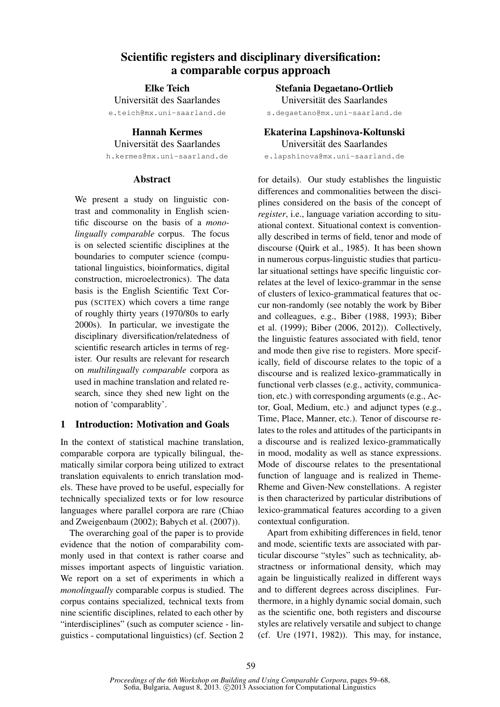# Scientific registers and disciplinary diversification: a comparable corpus approach

Elke Teich

Universität des Saarlandes e.teich@mx.uni-saarland.de

Hannah Kermes

Universitat des Saarlandes ¨

h.kermes@mx.uni-saarland.de

### Abstract

We present a study on linguistic contrast and commonality in English scientific discourse on the basis of a *monolingually comparable* corpus. The focus is on selected scientific disciplines at the boundaries to computer science (computational linguistics, bioinformatics, digital construction, microelectronics). The data basis is the English Scientific Text Corpus (SCITEX) which covers a time range of roughly thirty years (1970/80s to early 2000s). In particular, we investigate the disciplinary diversification/relatedness of scientific research articles in terms of register. Our results are relevant for research on *multilingually comparable* corpora as used in machine translation and related research, since they shed new light on the notion of 'comparablity'.

### 1 Introduction: Motivation and Goals

In the context of statistical machine translation, comparable corpora are typically bilingual, thematically similar corpora being utilized to extract translation equivalents to enrich translation models. These have proved to be useful, especially for technically specialized texts or for low resource languages where parallel corpora are rare (Chiao and Zweigenbaum (2002); Babych et al. (2007)).

The overarching goal of the paper is to provide evidence that the notion of comparability commonly used in that context is rather coarse and misses important aspects of linguistic variation. We report on a set of experiments in which a *monolingually* comparable corpus is studied. The corpus contains specialized, technical texts from nine scientific disciplines, related to each other by "interdisciplines" (such as computer science - linguistics - computational linguistics) (cf. Section 2

Stefania Degaetano-Ortlieb Universitat des Saarlandes ¨ s.degaetano@mx.uni-saarland.de

Ekaterina Lapshinova-Koltunski

Universitat des Saarlandes ¨

e.lapshinova@mx.uni-saarland.de

for details). Our study establishes the linguistic differences and commonalities between the disciplines considered on the basis of the concept of *register*, i.e., language variation according to situational context. Situational context is conventionally described in terms of field, tenor and mode of discourse (Quirk et al., 1985). It has been shown in numerous corpus-linguistic studies that particular situational settings have specific linguistic correlates at the level of lexico-grammar in the sense of clusters of lexico-grammatical features that occur non-randomly (see notably the work by Biber and colleagues, e.g., Biber (1988, 1993); Biber et al. (1999); Biber (2006, 2012)). Collectively, the linguistic features associated with field, tenor and mode then give rise to registers. More specifically, field of discourse relates to the topic of a discourse and is realized lexico-grammatically in functional verb classes (e.g., activity, communication, etc.) with corresponding arguments (e.g., Actor, Goal, Medium, etc.) and adjunct types (e.g., Time, Place, Manner, etc.). Tenor of discourse relates to the roles and attitudes of the participants in a discourse and is realized lexico-grammatically in mood, modality as well as stance expressions. Mode of discourse relates to the presentational function of language and is realized in Theme-Rheme and Given-New constellations. A register is then characterized by particular distributions of lexico-grammatical features according to a given contextual configuration.

Apart from exhibiting differences in field, tenor and mode, scientific texts are associated with particular discourse "styles" such as technicality, abstractness or informational density, which may again be linguistically realized in different ways and to different degrees across disciplines. Furthermore, in a highly dynamic social domain, such as the scientific one, both registers and discourse styles are relatively versatile and subject to change (cf. Ure (1971, 1982)). This may, for instance,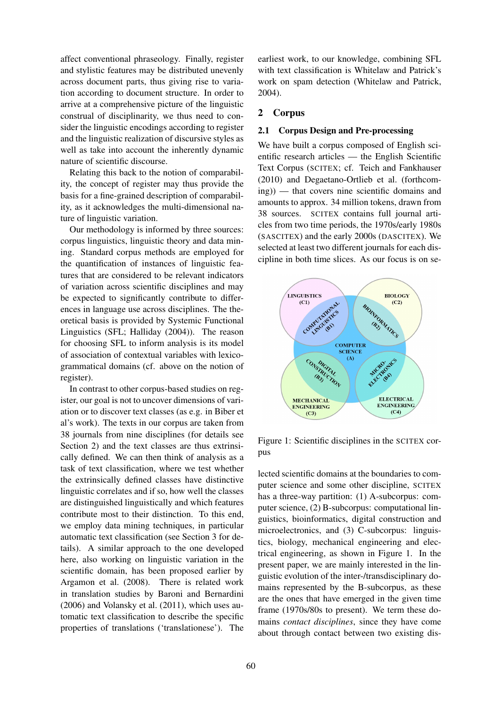affect conventional phraseology. Finally, register and stylistic features may be distributed unevenly across document parts, thus giving rise to variation according to document structure. In order to arrive at a comprehensive picture of the linguistic construal of disciplinarity, we thus need to consider the linguistic encodings according to register and the linguistic realization of discursive styles as well as take into account the inherently dynamic nature of scientific discourse.

Relating this back to the notion of comparability, the concept of register may thus provide the basis for a fine-grained description of comparability, as it acknowledges the multi-dimensional nature of linguistic variation.

Our methodology is informed by three sources: corpus linguistics, linguistic theory and data mining. Standard corpus methods are employed for the quantification of instances of linguistic features that are considered to be relevant indicators of variation across scientific disciplines and may be expected to significantly contribute to differences in language use across disciplines. The theoretical basis is provided by Systemic Functional Linguistics (SFL; Halliday (2004)). The reason for choosing SFL to inform analysis is its model of association of contextual variables with lexicogrammatical domains (cf. above on the notion of register).

In contrast to other corpus-based studies on register, our goal is not to uncover dimensions of variation or to discover text classes (as e.g. in Biber et al's work). The texts in our corpus are taken from 38 journals from nine disciplines (for details see Section 2) and the text classes are thus extrinsically defined. We can then think of analysis as a task of text classification, where we test whether the extrinsically defined classes have distinctive linguistic correlates and if so, how well the classes are distinguished linguistically and which features contribute most to their distinction. To this end, we employ data mining techniques, in particular automatic text classification (see Section 3 for details). A similar approach to the one developed here, also working on linguistic variation in the scientific domain, has been proposed earlier by Argamon et al. (2008). There is related work in translation studies by Baroni and Bernardini (2006) and Volansky et al. (2011), which uses automatic text classification to describe the specific properties of translations ('translationese'). The earliest work, to our knowledge, combining SFL with text classification is Whitelaw and Patrick's work on spam detection (Whitelaw and Patrick, 2004).

### 2 Corpus

#### 2.1 Corpus Design and Pre-processing

We have built a corpus composed of English scientific research articles — the English Scientific Text Corpus (SCITEX; cf. Teich and Fankhauser (2010) and Degaetano-Ortlieb et al. (forthcoming)) — that covers nine scientific domains and amounts to approx. 34 million tokens, drawn from 38 sources. SCITEX contains full journal articles from two time periods, the 1970s/early 1980s (SASCITEX) and the early 2000s (DASCITEX). We selected at least two different journals for each discipline in both time slices. As our focus is on se-



Figure 1: Scientific disciplines in the SCITEX corpus

lected scientific domains at the boundaries to computer science and some other discipline, SCITEX has a three-way partition: (1) A-subcorpus: computer science, (2) B-subcorpus: computational linguistics, bioinformatics, digital construction and microelectronics, and (3) C-subcorpus: linguistics, biology, mechanical engineering and electrical engineering, as shown in Figure 1. In the present paper, we are mainly interested in the linguistic evolution of the inter-/transdisciplinary domains represented by the B-subcorpus, as these are the ones that have emerged in the given time frame (1970s/80s to present). We term these domains *contact disciplines*, since they have come about through contact between two existing dis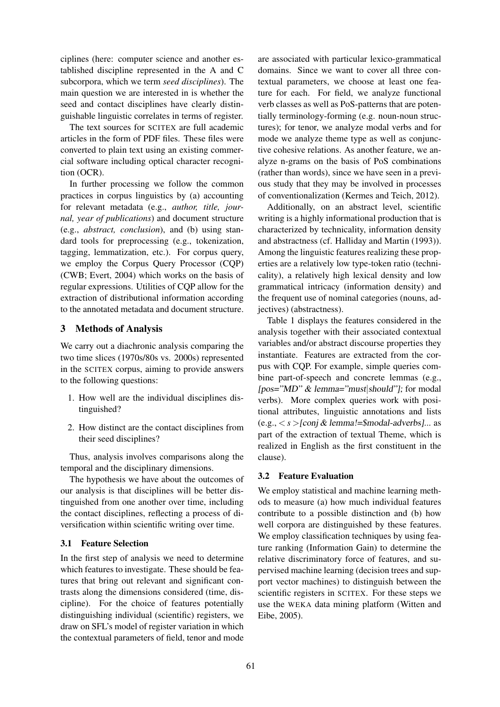ciplines (here: computer science and another established discipline represented in the A and C subcorpora, which we term *seed disciplines*). The main question we are interested in is whether the seed and contact disciplines have clearly distinguishable linguistic correlates in terms of register.

The text sources for SCITEX are full academic articles in the form of PDF files. These files were converted to plain text using an existing commercial software including optical character recognition (OCR).

In further processing we follow the common practices in corpus linguistics by (a) accounting for relevant metadata (e.g., *author, title, journal, year of publications*) and document structure (e.g., *abstract, conclusion*), and (b) using standard tools for preprocessing (e.g., tokenization, tagging, lemmatization, etc.). For corpus query, we employ the Corpus Query Processor (CQP) (CWB; Evert, 2004) which works on the basis of regular expressions. Utilities of CQP allow for the extraction of distributional information according to the annotated metadata and document structure.

### 3 Methods of Analysis

We carry out a diachronic analysis comparing the two time slices (1970s/80s vs. 2000s) represented in the SCITEX corpus, aiming to provide answers to the following questions:

- 1. How well are the individual disciplines distinguished?
- 2. How distinct are the contact disciplines from their seed disciplines?

Thus, analysis involves comparisons along the temporal and the disciplinary dimensions.

The hypothesis we have about the outcomes of our analysis is that disciplines will be better distinguished from one another over time, including the contact disciplines, reflecting a process of diversification within scientific writing over time.

# 3.1 Feature Selection

In the first step of analysis we need to determine which features to investigate. These should be features that bring out relevant and significant contrasts along the dimensions considered (time, discipline). For the choice of features potentially distinguishing individual (scientific) registers, we draw on SFL's model of register variation in which the contextual parameters of field, tenor and mode are associated with particular lexico-grammatical domains. Since we want to cover all three contextual parameters, we choose at least one feature for each. For field, we analyze functional verb classes as well as PoS-patterns that are potentially terminology-forming (e.g. noun-noun structures); for tenor, we analyze modal verbs and for mode we analyze theme type as well as conjunctive cohesive relations. As another feature, we analyze n-grams on the basis of PoS combinations (rather than words), since we have seen in a previous study that they may be involved in processes of conventionalization (Kermes and Teich, 2012).

Additionally, on an abstract level, scientific writing is a highly informational production that is characterized by technicality, information density and abstractness (cf. Halliday and Martin (1993)). Among the linguistic features realizing these properties are a relatively low type-token ratio (technicality), a relatively high lexical density and low grammatical intricacy (information density) and the frequent use of nominal categories (nouns, adjectives) (abstractness).

Table 1 displays the features considered in the analysis together with their associated contextual variables and/or abstract discourse properties they instantiate. Features are extracted from the corpus with CQP. For example, simple queries combine part-of-speech and concrete lemmas (e.g.,  $[pos="MD" & lemma="must| should"]$ ; for modal verbs). More complex queries work with positional attributes, linguistic annotations and lists (e.g., < *s* >[conj & lemma!=\$modal-adverbs]... as part of the extraction of textual Theme, which is realized in English as the first constituent in the clause).

# 3.2 Feature Evaluation

We employ statistical and machine learning methods to measure (a) how much individual features contribute to a possible distinction and (b) how well corpora are distinguished by these features. We employ classification techniques by using feature ranking (Information Gain) to determine the relative discriminatory force of features, and supervised machine learning (decision trees and support vector machines) to distinguish between the scientific registers in SCITEX. For these steps we use the WEKA data mining platform (Witten and Eibe, 2005).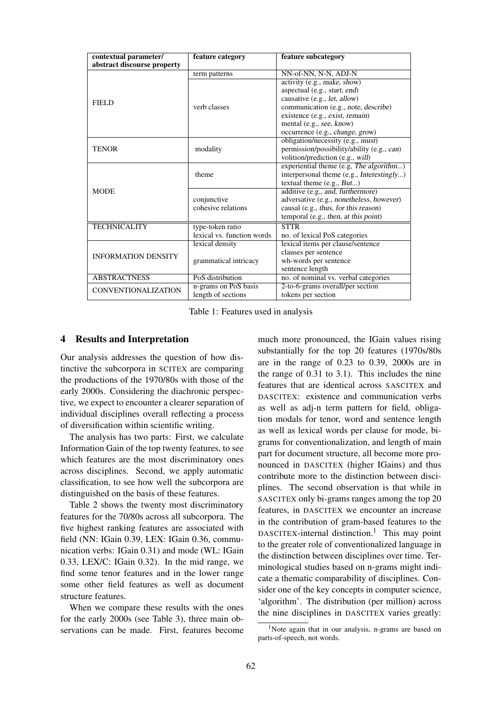| contextual parameter/       | feature category           | feature subcategory                        |
|-----------------------------|----------------------------|--------------------------------------------|
| abstract discourse property |                            |                                            |
|                             | term patterns              | NN-of-NN, N-N, ADJ-N                       |
|                             |                            | activity (e.g., make, show)                |
|                             |                            | aspectual (e.g., start, end)               |
| <b>FIELD</b>                |                            | causative (e.g., let, allow)               |
|                             | verb classes               | communication (e.g., note, describe)       |
|                             |                            | existence (e.g., exist, remain)            |
|                             |                            | mental (e.g., see, know)                   |
|                             |                            | occurrence (e.g., change, grow)            |
|                             |                            | obligation/necessity (e.g., must)          |
| <b>TENOR</b>                | modality                   | permission/possibility/ability (e.g., can) |
|                             |                            | volition/prediction (e.g., will)           |
|                             |                            | experiential theme (e.g, The algorithm)    |
|                             | theme                      | interpersonal theme (e.g., Interestingly)  |
|                             |                            | textual theme (e.g., But)                  |
| <b>MODE</b>                 |                            | additive (e.g., and, furthermore)          |
|                             | conjunctive                | adversative (e.g., nonetheless, however)   |
|                             | cohesive relations         | causal (e.g., thus, for this reason)       |
|                             |                            | temporal (e.g., then, at this point)       |
| <b>TECHNICALITY</b>         | type-token ratio           | <b>STTR</b>                                |
|                             | lexical vs. function words | no. of lexical PoS categories              |
|                             | lexical density            | lexical items per clause/sentence          |
| <b>INFORMATION DENSITY</b>  |                            | clauses per sentence                       |
|                             | grammatical intricacy      | wh-words per sentence                      |
|                             |                            | sentence length                            |
| <b>ABSTRACTNESS</b>         | PoS distribution           | no. of nominal vs. verbal categories       |
| <b>CONVENTIONALIZATION</b>  | n-grams on PoS basis       | 2-to-6-grams overall/per section           |
|                             | length of sections         | tokens per section                         |

Table 1: Features used in analysis

#### 4 Results and Interpretation

Our analysis addresses the question of how distinctive the subcorpora in SCITEX are comparing the productions of the 1970/80s with those of the early 2000s. Considering the diachronic perspective, we expect to encounter a clearer separation of individual disciplines overall reflecting a process of diversification within scientific writing.

The analysis has two parts: First, we calculate Information Gain of the top twenty features, to see which features are the most discriminatory ones across disciplines. Second, we apply automatic classification, to see how well the subcorpora are distinguished on the basis of these features.

Table 2 shows the twenty most discriminatory features for the 70/80s across all subcorpora. The five highest ranking features are associated with field (NN: IGain 0.39, LEX: IGain 0.36, communication verbs: IGain 0.31) and mode (WL: IGain 0.33, LEX/C: IGain 0.32). In the mid range, we find some tenor features and in the lower range some other field features as well as document structure features.

When we compare these results with the ones for the early 2000s (see Table 3), three main observations can be made. First, features become much more pronounced, the IGain values rising substantially for the top 20 features (1970s/80s are in the range of 0.23 to 0.39, 2000s are in the range of 0.31 to 3.1). This includes the nine features that are identical across SASCITEX and DASCITEX: existence and communication verbs as well as adj-n term pattern for field, obligation modals for tenor, word and sentence length as well as lexical words per clause for mode, bigrams for conventionalization, and length of main part for document structure, all become more pronounced in DASCITEX (higher IGains) and thus contribute more to the distinction between disciplines. The second observation is that while in SASCITEX only bi-grams ranges among the top 20 features, in DASCITEX we encounter an increase in the contribution of gram-based features to the DASCITEX-internal distinction.<sup>1</sup> This may point to the greater role of conventionalized language in the distinction between disciplines over time. Terminological studies based on n-grams might indicate a thematic comparability of disciplines. Consider one of the key concepts in computer science, 'algorithm'. The distribution (per million) across the nine disciplines in DASCITEX varies greatly:

<sup>&</sup>lt;sup>1</sup>Note again that in our analysis, n-grams are based on parts-of-speech, not words.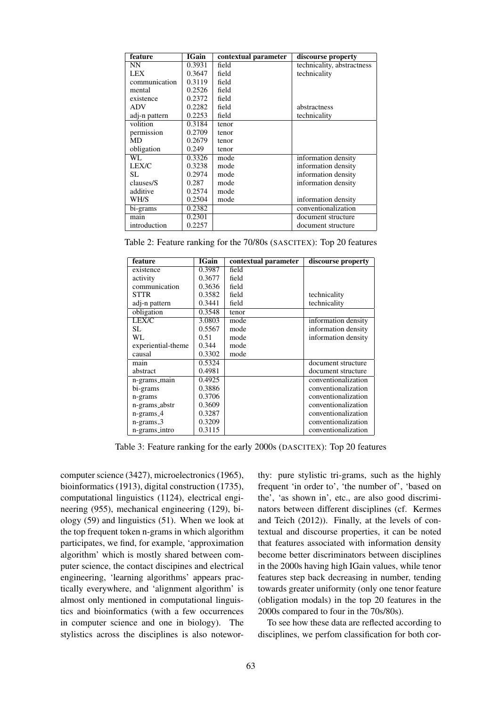| feature       | <b>IGain</b> | contextual parameter | discourse property         |
|---------------|--------------|----------------------|----------------------------|
| NN.           | 0.3931       | field                | technicality, abstractness |
| <b>LEX</b>    | 0.3647       | field                | technicality               |
| communication | 0.3119       | field                |                            |
| mental        | 0.2526       | field                |                            |
| existence     | 0.2372       | field                |                            |
| ADV           | 0.2282       | field                | abstractness               |
| adj-n pattern | 0.2253       | field                | technicality               |
| volition      | 0.3184       | tenor                |                            |
| permission    | 0.2709       | tenor                |                            |
| MD            | 0.2679       | tenor                |                            |
| obligation    | 0.249        | tenor                |                            |
| WL            | 0.3326       | mode                 | information density        |
| LEX/C         | 0.3238       | mode                 | information density        |
| SL.           | 0.2974       | mode                 | information density        |
| clauses/S     | 0.287        | mode                 | information density        |
| additive      | 0.2574       | mode                 |                            |
| WH/S          | 0.2504       | mode                 | information density        |
| bi-grams      | 0.2382       |                      | conventionalization        |
| main          | 0.2301       |                      | document structure         |
| introduction  | 0.2257       |                      | document structure         |

|  |  |  |  |  |  |  |  | Table 2: Feature ranking for the 70/80s (SASCITEX): Top 20 features |  |  |  |
|--|--|--|--|--|--|--|--|---------------------------------------------------------------------|--|--|--|
|--|--|--|--|--|--|--|--|---------------------------------------------------------------------|--|--|--|

| feature            | <b>IGain</b> | contextual parameter | discourse property  |
|--------------------|--------------|----------------------|---------------------|
| existence          | 0.3987       | field                |                     |
| activity           | 0.3677       | field                |                     |
| communication      | 0.3636       | field                |                     |
| <b>STTR</b>        | 0.3582       | field                | technicality        |
| adj-n pattern      | 0.3441       | field                | technicality        |
| obligation         | 0.3548       | tenor                |                     |
| LEX/C              | 3.0803       | mode                 | information density |
| SL.                | 0.5567       | mode                 | information density |
| WL.                | 0.51         | mode                 | information density |
| experiential-theme | 0.344        | mode                 |                     |
| causal             | 0.3302       | mode                 |                     |
| main               | 0.5324       |                      | document structure  |
| abstract           | 0.4981       |                      | document structure  |
| n-grams_main       | 0.4925       |                      | conventionalization |
| bi-grams           | 0.3886       |                      | conventionalization |
| n-grams            | 0.3706       |                      | conventionalization |
| n-grams_abstr      | 0.3609       |                      | conventionalization |
| $n$ -grams $-4$    | 0.3287       |                      | conventionalization |
| $n-grams_3$        | 0.3209       |                      | conventionalization |
| n-grams_intro      | 0.3115       |                      | conventionalization |

Table 3: Feature ranking for the early 2000s (DASCITEX): Top 20 features

computer science (3427), microelectronics (1965), bioinformatics (1913), digital construction (1735), computational linguistics (1124), electrical engineering (955), mechanical engineering (129), biology (59) and linguistics (51). When we look at the top frequent token n-grams in which algorithm participates, we find, for example, 'approximation algorithm' which is mostly shared between computer science, the contact discipines and electrical engineering, 'learning algorithms' appears practically everywhere, and 'alignment algorithm' is almost only mentioned in computational linguistics and bioinformatics (with a few occurrences in computer science and one in biology). The stylistics across the disciplines is also noteworthy: pure stylistic tri-grams, such as the highly frequent 'in order to', 'the number of', 'based on the', 'as shown in', etc., are also good discriminators between different disciplines (cf. Kermes and Teich (2012)). Finally, at the levels of contextual and discourse properties, it can be noted that features associated with information density become better discriminators between disciplines in the 2000s having high IGain values, while tenor features step back decreasing in number, tending towards greater uniformity (only one tenor feature (obligation modals) in the top 20 features in the 2000s compared to four in the 70s/80s).

To see how these data are reflected according to disciplines, we perfom classification for both cor-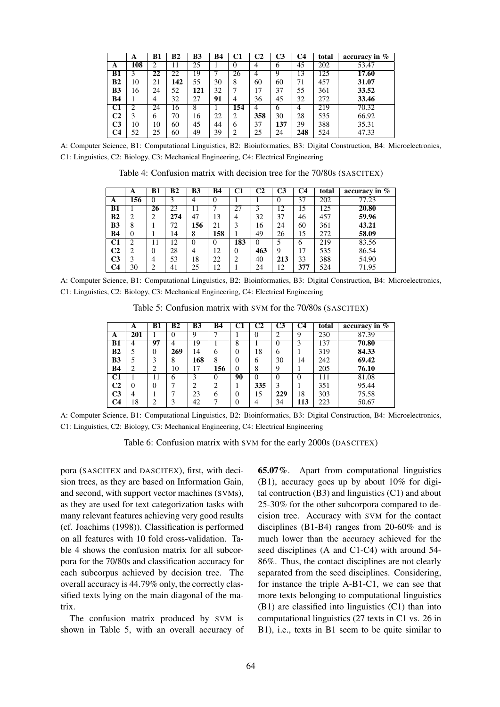|                | A   | B1 | B2  | <b>B3</b> | <b>B4</b> | C1       | C2  | C3  | C <sub>4</sub> | total | accuracy in $%$ |
|----------------|-----|----|-----|-----------|-----------|----------|-----|-----|----------------|-------|-----------------|
| A              | 108 | ↑  | 11  | 25        |           | $\theta$ | 4   | 6   | 45             | 202   | 53.47           |
| <b>B1</b>      | 3   | 22 | 22  | 19        | ┑         | 26       | 4   | 9   | 13             | 125   | 17.60           |
| B <sub>2</sub> | 10  | 21 | 142 | 55        | 30        | 8        | 60  | 60  | 71             | 457   | 31.07           |
| B <sub>3</sub> | 16  | 24 | 52  | 121       | 32        |          | 17  | 37  | 55             | 361   | 33.52           |
| <b>B4</b>      |     | 4  | 32  | 27        | 91        | 4        | 36  | 45  | 32             | 272   | 33.46           |
| C1             |     | 24 | 16  | 8         |           | 154      | 4   | 6   | 4              | 219   | 70.32           |
| C2             |     | 6  | 70  | 16        | 22        | 2        | 358 | 30  | 28             | 535   | 66.92           |
| C <sub>3</sub> | 10  | 10 | 60  | 45        | 44        | 6        | 37  | 137 | 39             | 388   | 35.31           |
| C4             | 52  | 25 | 60  | 49        | 39        | 2        | 25  | 24  | 248            | 524   | 47.33           |

A: Computer Science, B1: Computational Linguistics, B2: Bioinformatics, B3: Digital Construction, B4: Microelectronics, C1: Linguistics, C2: Biology, C3: Mechanical Engineering, C4: Electrical Engineering

Table 4: Confusion matrix with decision tree for the 70/80s (SASCITEX)

|                          | A        | B1             | B <sub>2</sub> | <b>B3</b>      | <b>B4</b> | C1  | C2       | C3  | $\overline{\text{C4}}$ | total | accuracy in $\%$ |
|--------------------------|----------|----------------|----------------|----------------|-----------|-----|----------|-----|------------------------|-------|------------------|
| A                        | 156      | $\theta$       | 3              | 4              | 0         |     |          | 0   | 37                     | 202   | 77.23            |
| <b>B1</b>                |          | 26             | 23             | 11             |           | 27  | 3        | 12  | 15                     | 125   | 20.80            |
| B <sub>2</sub>           | 2        | 2              | 274            | 47             | 13        | 4   | 32       | 37  | 46                     | 457   | 59.96            |
| <b>B3</b>                | 8        |                | 72             | 156            | 21        | 3   | 16       | 24  | 60                     | 361   | 43.21            |
| <b>B4</b>                | $\theta$ |                | 14             | 8              | 158       |     | 49       | 26  | 15                     | 272   | 58.09            |
| $\overline{\textbf{C1}}$ | ↑        | 11             | 12             | $\theta$       | $\theta$  | 183 | $\Omega$ |     | 6                      | 219   | 83.56            |
| C2                       | າ        | $\theta$       | 28             | $\overline{4}$ | 12        | 0   | 463      | 9   | 17                     | 535   | 86.54            |
| C3                       | 3        | 4              | 53             | 18             | 22        | 2   | 40       | 213 | 33                     | 388   | 54.90            |
| C4                       | 30       | $\overline{2}$ | 41             | 25             | 12        |     | 24       | 12  | 377                    | 524   | 71.95            |

A: Computer Science, B1: Computational Linguistics, B2: Bioinformatics, B3: Digital Construction, B4: Microelectronics, C1: Linguistics, C2: Biology, C3: Mechanical Engineering, C4: Electrical Engineering

Table 5: Confusion matrix with SVM for the 70/80s (SASCITEX)

|                | A        | B1 | <b>B2</b> | B <sub>3</sub> | <b>B4</b>      | C1       | C2       | C3       | C <sub>4</sub> | total | accuracy in $\overline{\%}$ |
|----------------|----------|----|-----------|----------------|----------------|----------|----------|----------|----------------|-------|-----------------------------|
| A              | 201      |    | 0         | 9              |                |          |          | 2        | 9              | 230   | 87.39                       |
| <b>B1</b>      | 4        | 97 | 4         | 19             |                | 8        |          | 0        | 3              | 137   | 70.80                       |
| B <sub>2</sub> | 5        | 0  | 269       | 14             | 6              | 0        | 18       | 6        |                | 319   | 84.33                       |
| <b>B3</b>      | 5        | 3  | 8         | 168            | 8              | 0        | 6        | 30       | 14             | 242   | 69.42                       |
| <b>B4</b>      | 2        | 2  | 10        | 17             | 156            | 0        | 8        | 9        |                | 205   | 76.10                       |
| C1             |          | 11 | 6         | 3              | $\Omega$       | 90       | $\theta$ | $\theta$ | 0              | 111   | 81.08                       |
| C <sub>2</sub> | $\theta$ | 0  | ⇁         | ↑              | $\overline{2}$ |          | 335      | 3        |                | 351   | 95.44                       |
| C <sub>3</sub> | 4        |    |           | 23             | 6              | $_{0}$   | 15       | 229      | 18             | 303   | 75.58                       |
| C <sub>4</sub> | 18       | ↑  | 3         | 42             | 7              | $\theta$ | 4        | 34       | 113            | 223   | 50.67                       |

A: Computer Science, B1: Computational Linguistics, B2: Bioinformatics, B3: Digital Construction, B4: Microelectronics, C1: Linguistics, C2: Biology, C3: Mechanical Engineering, C4: Electrical Engineering

Table 6: Confusion matrix with SVM for the early 2000s (DASCITEX)

pora (SASCITEX and DASCITEX), first, with decision trees, as they are based on Information Gain, and second, with support vector machines (SVMs), as they are used for text categorization tasks with many relevant features achieving very good results (cf. Joachims (1998)). Classification is performed on all features with 10 fold cross-validation. Table 4 shows the confusion matrix for all subcorpora for the 70/80s and classification accuracy for each subcorpus achieved by decision tree. The overall accuracy is 44.79% only, the correctly classified texts lying on the main diagonal of the matrix.

The confusion matrix produced by SVM is shown in Table 5, with an overall accuracy of 65.07%. Apart from computational linguistics (B1), accuracy goes up by about 10% for digital contruction  $(B3)$  and linguistics  $(C1)$  and about 25-30% for the other subcorpora compared to decision tree. Accuracy with SVM for the contact disciplines (B1-B4) ranges from 20-60% and is much lower than the accuracy achieved for the seed disciplines (A and C1-C4) with around 54- 86%. Thus, the contact disciplines are not clearly separated from the seed disciplines. Considering, for instance the triple A-B1-C1, we can see that more texts belonging to computational linguistics (B1) are classified into linguistics (C1) than into computational linguistics (27 texts in C1 vs. 26 in B1), i.e., texts in B1 seem to be quite similar to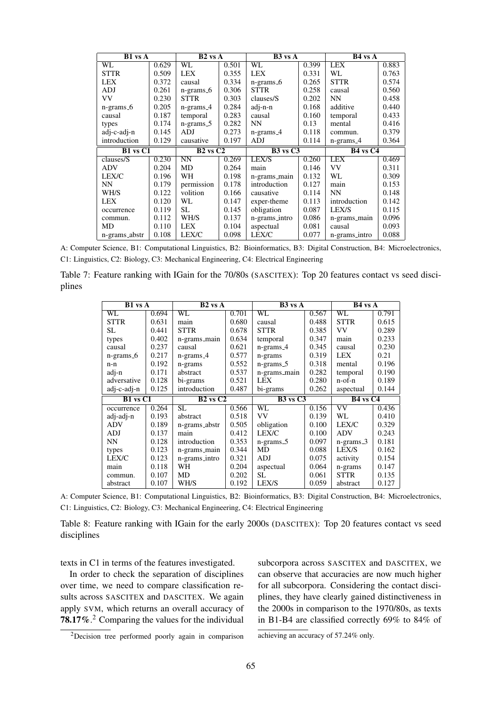| <b>B1</b> vs A |       | $B2$ vs $A$  |       | $B3$ vs $A$   |       | $\overline{B}4$ vs $A$ |       |
|----------------|-------|--------------|-------|---------------|-------|------------------------|-------|
| WL             | 0.629 | WL.          | 0.501 | WL            | 0.399 | LEX                    | 0.883 |
| <b>STTR</b>    | 0.509 | <b>LEX</b>   | 0.355 | <b>LEX</b>    | 0.331 | WL                     | 0.763 |
| <b>LEX</b>     | 0.372 | causal       | 0.334 | $n-grams_6$   | 0.265 | <b>STTR</b>            | 0.574 |
| ADJ            | 0.261 | n-grams_6    | 0.306 | <b>STTR</b>   | 0.258 | causal                 | 0.560 |
| VV             | 0.230 | <b>STTR</b>  | 0.303 | clauses/S     | 0.202 | <b>NN</b>              | 0.458 |
| n-grams_6      | 0.205 | $n-grams_4$  | 0.284 | adj-n-n       | 0.168 | additive               | 0.440 |
| causal         | 0.187 | temporal     | 0.283 | causal        | 0.160 | temporal               | 0.433 |
| types          | 0.174 | n-grams_5    | 0.282 | NN            | 0.13  | mental                 | 0.416 |
| adj-c-adj-n    | 0.145 | <b>ADJ</b>   | 0.273 | $n-grams_4$   | 0.118 | commun.                | 0.379 |
| introduction   | 0.129 | causative    | 0.197 | <b>ADJ</b>    | 0.114 | $n-grams_4$            | 0.364 |
|                |       |              |       |               |       |                        |       |
| $B1$ vs $C1$   |       | $B2$ vs $C2$ |       | $B3$ vs $C3$  |       | $\overline{B4}$ vs C4  |       |
| clauses/S      | 0.230 | NN           | 0.269 | LEX/S         | 0.260 | <b>LEX</b>             | 0.469 |
| <b>ADV</b>     | 0.204 | MD           | 0.264 | main          | 0.146 | <b>VV</b>              | 0.311 |
| LEX/C          | 0.196 | WН           | 0.198 | n-grams_main  | 0.132 | WL                     | 0.309 |
| NN             | 0.179 | permission   | 0.178 | introduction  | 0.127 | main                   | 0.153 |
| WH/S           | 0.122 | volition     | 0.166 | causative     | 0.114 | <b>NN</b>              | 0.148 |
| LEX            | 0.120 | WL           | 0.147 | exper-theme   | 0.113 | introduction           | 0.142 |
| occurrence     | 0.119 | SL           | 0.145 | obligation    | 0.087 | LEX/S                  | 0.115 |
| commun.        | 0.112 | WH/S         | 0.137 | n-grams_intro | 0.086 | n-grams_main           | 0.096 |
| MD             | 0.110 | LEX          | 0.104 | aspectual     | 0.081 | causal                 | 0.093 |

A: Computer Science, B1: Computational Linguistics, B2: Bioinformatics, B3: Digital Construction, B4: Microelectronics, C1: Linguistics, C2: Biology, C3: Mechanical Engineering, C4: Electrical Engineering

Table 7: Feature ranking with IGain for the 70/80s (SASCITEX): Top 20 features contact vs seed disciplines

| <b>B1</b> vs A |       | $B2$ vs $A$   |       | $\overline{B3}$ vs $\overline{A}$ |       | $B4$ vs $A$ |                                  |  |
|----------------|-------|---------------|-------|-----------------------------------|-------|-------------|----------------------------------|--|
| WL             | 0.694 | WL            | 0.701 | WL                                | 0.567 | WL          | 0.791                            |  |
| <b>STTR</b>    | 0.631 | main          | 0.680 | causal                            | 0.488 | <b>STTR</b> | 0.615                            |  |
| SL.            | 0.441 | <b>STTR</b>   | 0.678 | <b>STTR</b>                       | 0.385 | <b>VV</b>   | 0.289                            |  |
| types          | 0.402 | n-grams_main  | 0.634 | temporal                          | 0.347 | main        | 0.233                            |  |
| causal         | 0.237 | causal        | 0.621 | $n-grams_4$                       | 0.345 | causal      | 0.230                            |  |
| $n-grams_6$    | 0.217 | $n-grams_4$   | 0.577 | n-grams                           | 0.319 | <b>LEX</b>  | 0.21                             |  |
| n-n            | 0.192 | n-grams       | 0.552 | $n-grams5$                        | 0.318 | mental      | 0.196                            |  |
| adj-n          | 0.171 | abstract      | 0.537 | n-grams_main                      | 0.282 | temporal    | 0.190                            |  |
| adversative    | 0.128 | bi-grams      | 0.521 | <b>LEX</b>                        | 0.280 | n-of-n      | 0.189                            |  |
| adj-c-adj-n    | 0.125 | introduction  | 0.487 | bi-grams                          | 0.262 | aspectual   | 0.144                            |  |
| $B1$ vs $C1$   |       | $B2$ vs $C2$  |       | $B3$ vs $C3$                      |       |             | B <sub>4</sub> vs C <sub>4</sub> |  |
| occurrence     | 0.264 | <b>SL</b>     | 0.566 | $\overline{\text{WL}}$            | 0.156 | VV          | 0.436                            |  |
| adj-adj-n      | 0.193 | abstract      | 0.518 | <b>VV</b>                         | 0.139 | WL          | 0.410                            |  |
| <b>ADV</b>     | 0.189 |               |       |                                   |       |             |                                  |  |
|                |       | n-grams_abstr | 0.505 | obligation                        | 0.100 | LEX/C       | 0.329                            |  |
| <b>ADJ</b>     | 0.137 | main          | 0.412 | LEX/C                             | 0.100 | <b>ADV</b>  | 0.243                            |  |
| NN             | 0.128 | introduction  | 0.353 | $n-grams5$                        | 0.097 | $n-grams_3$ | 0.181                            |  |
| types          | 0.123 | n-grams_main  | 0.344 | MD                                | 0.088 | LEX/S       | 0.162                            |  |
| LEX/C          | 0.123 | n-grams_intro | 0.321 | ADJ                               | 0.075 | activity    | 0.154                            |  |
| main           | 0.118 | WH            | 0.204 | aspectual                         | 0.064 | n-grams     | 0.147                            |  |
| commun.        | 0.107 | MD            | 0.202 | SL.                               | 0.061 | <b>STTR</b> | 0.135                            |  |

A: Computer Science, B1: Computational Linguistics, B2: Bioinformatics, B3: Digital Construction, B4: Microelectronics, C1: Linguistics, C2: Biology, C3: Mechanical Engineering, C4: Electrical Engineering

Table 8: Feature ranking with IGain for the early 2000s (DASCITEX): Top 20 features contact vs seed disciplines

texts in C1 in terms of the features investigated.

In order to check the separation of disciplines over time, we need to compare classification results across SASCITEX and DASCITEX. We again apply SVM, which returns an overall accuracy of 78.17%.<sup>2</sup> Comparing the values for the individual

subcorpora across SASCITEX and DASCITEX, we can observe that accuracies are now much higher for all subcorpora. Considering the contact disciplines, they have clearly gained distinctiveness in the 2000s in comparison to the 1970/80s, as texts in B1-B4 are classified correctly 69% to 84% of

<sup>2</sup>Decision tree performed poorly again in comparison

achieving an accuracy of 57.24% only.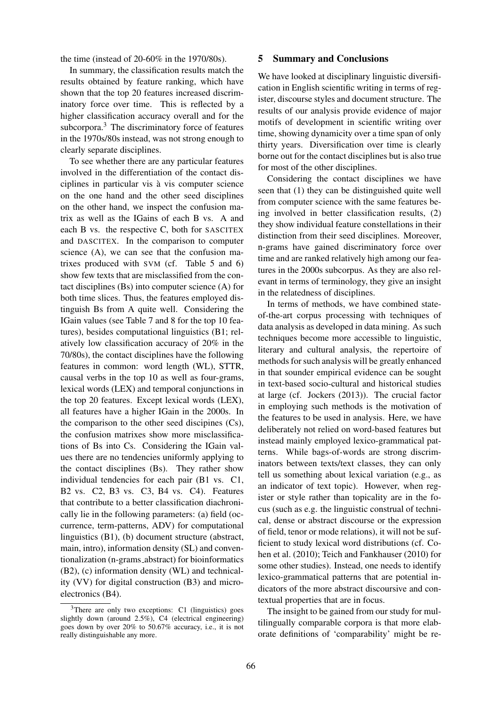the time (instead of 20-60% in the 1970/80s).

In summary, the classification results match the results obtained by feature ranking, which have shown that the top 20 features increased discriminatory force over time. This is reflected by a higher classification accuracy overall and for the subcorpora.<sup>3</sup> The discriminatory force of features in the 1970s/80s instead, was not strong enough to clearly separate disciplines.

To see whether there are any particular features involved in the differentiation of the contact disciplines in particular vis à vis computer science on the one hand and the other seed disciplines on the other hand, we inspect the confusion matrix as well as the IGains of each B vs. A and each B vs. the respective C, both for SASCITEX and DASCITEX. In the comparison to computer science (A), we can see that the confusion matrixes produced with SVM (cf. Table 5 and 6) show few texts that are misclassified from the contact disciplines (Bs) into computer science (A) for both time slices. Thus, the features employed distinguish Bs from A quite well. Considering the IGain values (see Table 7 and 8 for the top 10 features), besides computational linguistics (B1; relatively low classification accuracy of 20% in the 70/80s), the contact disciplines have the following features in common: word length (WL), STTR, causal verbs in the top 10 as well as four-grams, lexical words (LEX) and temporal conjunctions in the top 20 features. Except lexical words (LEX), all features have a higher IGain in the 2000s. In the comparison to the other seed discipines (Cs), the confusion matrixes show more misclassifications of Bs into Cs. Considering the IGain values there are no tendencies uniformly applying to the contact disciplines (Bs). They rather show individual tendencies for each pair (B1 vs. C1, B2 vs. C2, B3 vs. C3, B4 vs. C4). Features that contribute to a better classification diachronically lie in the following parameters: (a) field (occurrence, term-patterns, ADV) for computational linguistics (B1), (b) document structure (abstract, main, intro), information density (SL) and conventionalization (n-grams abstract) for bioinformatics (B2), (c) information density (WL) and technicality (VV) for digital construction (B3) and microelectronics (B4).

#### 5 Summary and Conclusions

We have looked at disciplinary linguistic diversification in English scientific writing in terms of register, discourse styles and document structure. The results of our analysis provide evidence of major motifs of development in scientific writing over time, showing dynamicity over a time span of only thirty years. Diversification over time is clearly borne out for the contact disciplines but is also true for most of the other disciplines.

Considering the contact disciplines we have seen that (1) they can be distinguished quite well from computer science with the same features being involved in better classification results, (2) they show individual feature constellations in their distinction from their seed disciplines. Moreover, n-grams have gained discriminatory force over time and are ranked relatively high among our features in the 2000s subcorpus. As they are also relevant in terms of terminology, they give an insight in the relatedness of disciplines.

In terms of methods, we have combined stateof-the-art corpus processing with techniques of data analysis as developed in data mining. As such techniques become more accessible to linguistic, literary and cultural analysis, the repertoire of methods for such analysis will be greatly enhanced in that sounder empirical evidence can be sought in text-based socio-cultural and historical studies at large (cf. Jockers (2013)). The crucial factor in employing such methods is the motivation of the features to be used in analysis. Here, we have deliberately not relied on word-based features but instead mainly employed lexico-grammatical patterns. While bags-of-words are strong discriminators between texts/text classes, they can only tell us something about lexical variation (e.g., as an indicator of text topic). However, when register or style rather than topicality are in the focus (such as e.g. the linguistic construal of technical, dense or abstract discourse or the expression of field, tenor or mode relations), it will not be sufficient to study lexical word distributions (cf. Cohen et al. (2010); Teich and Fankhauser (2010) for some other studies). Instead, one needs to identify lexico-grammatical patterns that are potential indicators of the more abstract discoursive and contextual properties that are in focus.

The insight to be gained from our study for multilingually comparable corpora is that more elaborate definitions of 'comparability' might be re-

 $3$ There are only two exceptions: C1 (linguistics) goes slightly down (around 2.5%), C4 (electrical engineering) goes down by over 20% to 50.67% accuracy, i.e., it is not really distinguishable any more.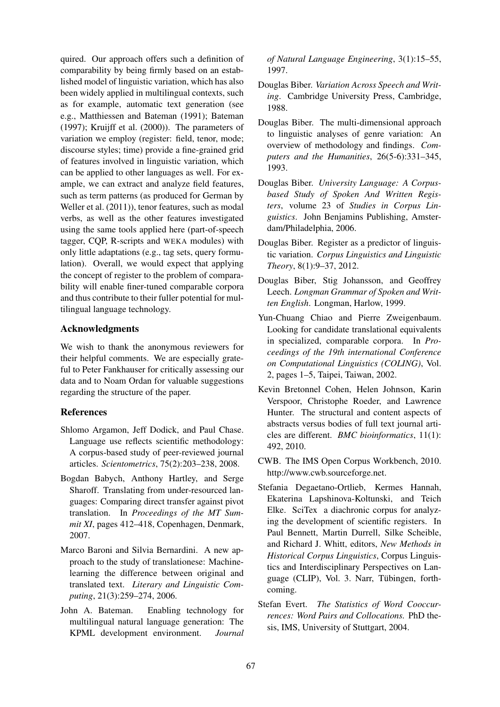quired. Our approach offers such a definition of comparability by being firmly based on an established model of linguistic variation, which has also been widely applied in multilingual contexts, such as for example, automatic text generation (see e.g., Matthiessen and Bateman (1991); Bateman (1997); Kruijff et al. (2000)). The parameters of variation we employ (register: field, tenor, mode; discourse styles; time) provide a fine-grained grid of features involved in linguistic variation, which can be applied to other languages as well. For example, we can extract and analyze field features, such as term patterns (as produced for German by Weller et al. (2011)), tenor features, such as modal verbs, as well as the other features investigated using the same tools applied here (part-of-speech tagger, CQP, R-scripts and WEKA modules) with only little adaptations (e.g., tag sets, query formulation). Overall, we would expect that applying the concept of register to the problem of comparability will enable finer-tuned comparable corpora and thus contribute to their fuller potential for multilingual language technology.

### Acknowledgments

We wish to thank the anonymous reviewers for their helpful comments. We are especially grateful to Peter Fankhauser for critically assessing our data and to Noam Ordan for valuable suggestions regarding the structure of the paper.

# References

- Shlomo Argamon, Jeff Dodick, and Paul Chase. Language use reflects scientific methodology: A corpus-based study of peer-reviewed journal articles. *Scientometrics*, 75(2):203–238, 2008.
- Bogdan Babych, Anthony Hartley, and Serge Sharoff. Translating from under-resourced languages: Comparing direct transfer against pivot translation. In *Proceedings of the MT Summit XI*, pages 412–418, Copenhagen, Denmark, 2007.
- Marco Baroni and Silvia Bernardini. A new approach to the study of translationese: Machinelearning the difference between original and translated text. *Literary and Linguistic Computing*, 21(3):259–274, 2006.
- John A. Bateman. Enabling technology for multilingual natural language generation: The KPML development environment. *Journal*

*of Natural Language Engineering*, 3(1):15–55, 1997.

- Douglas Biber. *Variation Across Speech and Writing*. Cambridge University Press, Cambridge, 1988.
- Douglas Biber. The multi-dimensional approach to linguistic analyses of genre variation: An overview of methodology and findings. *Computers and the Humanities*, 26(5-6):331–345, 1993.
- Douglas Biber. *University Language: A Corpusbased Study of Spoken And Written Registers*, volume 23 of *Studies in Corpus Linguistics*. John Benjamins Publishing, Amsterdam/Philadelphia, 2006.
- Douglas Biber. Register as a predictor of linguistic variation. *Corpus Linguistics and Linguistic Theory*, 8(1):9–37, 2012.
- Douglas Biber, Stig Johansson, and Geoffrey Leech. *Longman Grammar of Spoken and Written English*. Longman, Harlow, 1999.
- Yun-Chuang Chiao and Pierre Zweigenbaum. Looking for candidate translational equivalents in specialized, comparable corpora. In *Proceedings of the 19th international Conference on Computational Linguistics (COLING)*, Vol. 2, pages 1–5, Taipei, Taiwan, 2002.
- Kevin Bretonnel Cohen, Helen Johnson, Karin Verspoor, Christophe Roeder, and Lawrence Hunter. The structural and content aspects of abstracts versus bodies of full text journal articles are different. *BMC bioinformatics*, 11(1): 492, 2010.
- CWB. The IMS Open Corpus Workbench, 2010. http://www.cwb.sourceforge.net.
- Stefania Degaetano-Ortlieb, Kermes Hannah, Ekaterina Lapshinova-Koltunski, and Teich Elke. SciTex a diachronic corpus for analyzing the development of scientific registers. In Paul Bennett, Martin Durrell, Silke Scheible, and Richard J. Whitt, editors, *New Methods in Historical Corpus Linguistics*, Corpus Linguistics and Interdisciplinary Perspectives on Language (CLIP), Vol. 3. Narr, Tübingen, forthcoming.
- Stefan Evert. *The Statistics of Word Cooccurrences: Word Pairs and Collocations.* PhD thesis, IMS, University of Stuttgart, 2004.